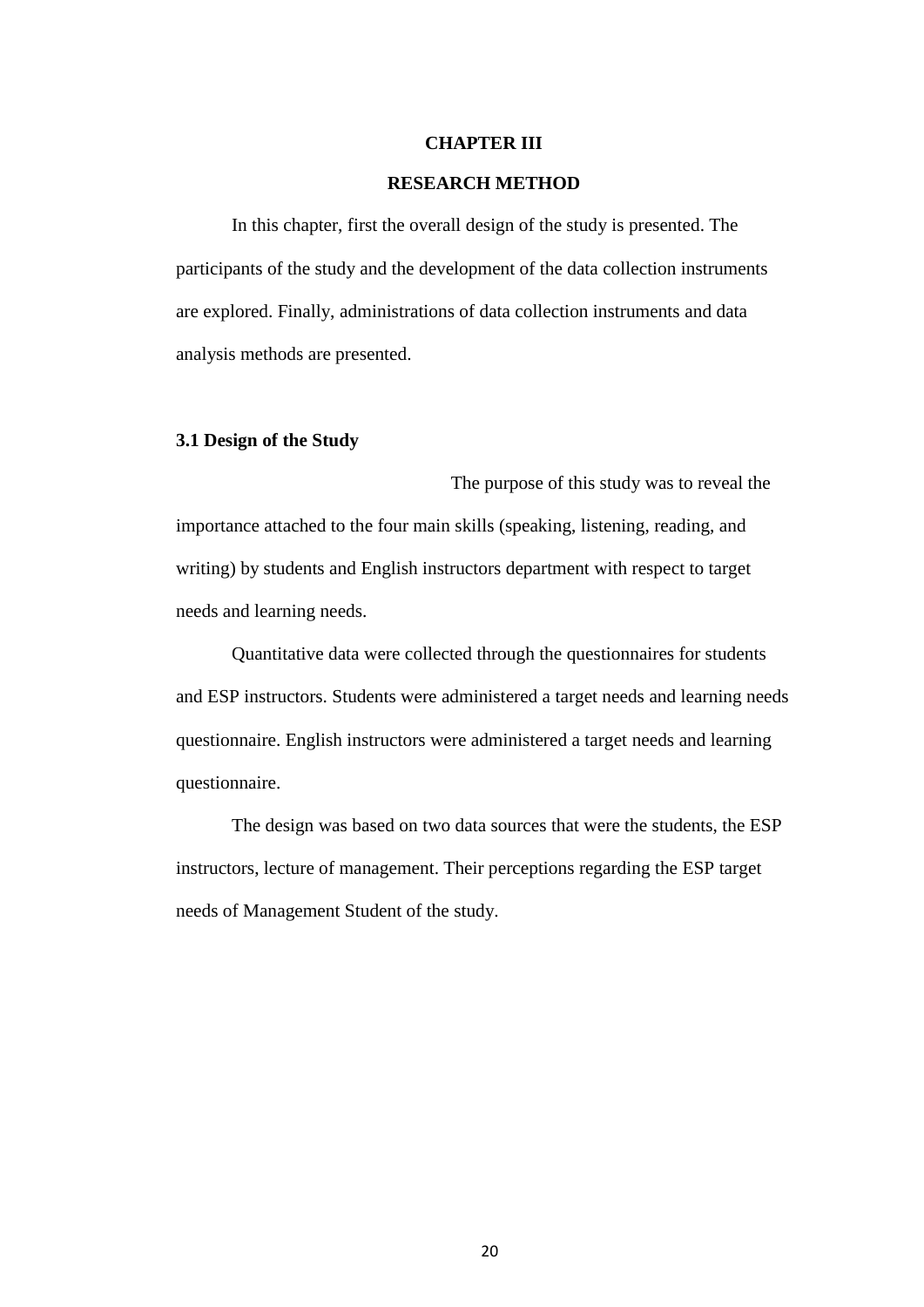#### **CHAPTER III**

#### **RESEARCH METHOD**

In this chapter, first the overall design of the study is presented. The participants of the study and the development of the data collection instruments are explored. Finally, administrations of data collection instruments and data analysis methods are presented.

#### **3.1 Design of the Study**

The purpose of this study was to reveal the importance attached to the four main skills (speaking, listening, reading, and writing) by students and English instructors department with respect to target needs and learning needs.

Quantitative data were collected through the questionnaires for students and ESP instructors. Students were administered a target needs and learning needs questionnaire. English instructors were administered a target needs and learning questionnaire.

The design was based on two data sources that were the students, the ESP instructors, lecture of management. Their perceptions regarding the ESP target needs of Management Student of the study.

20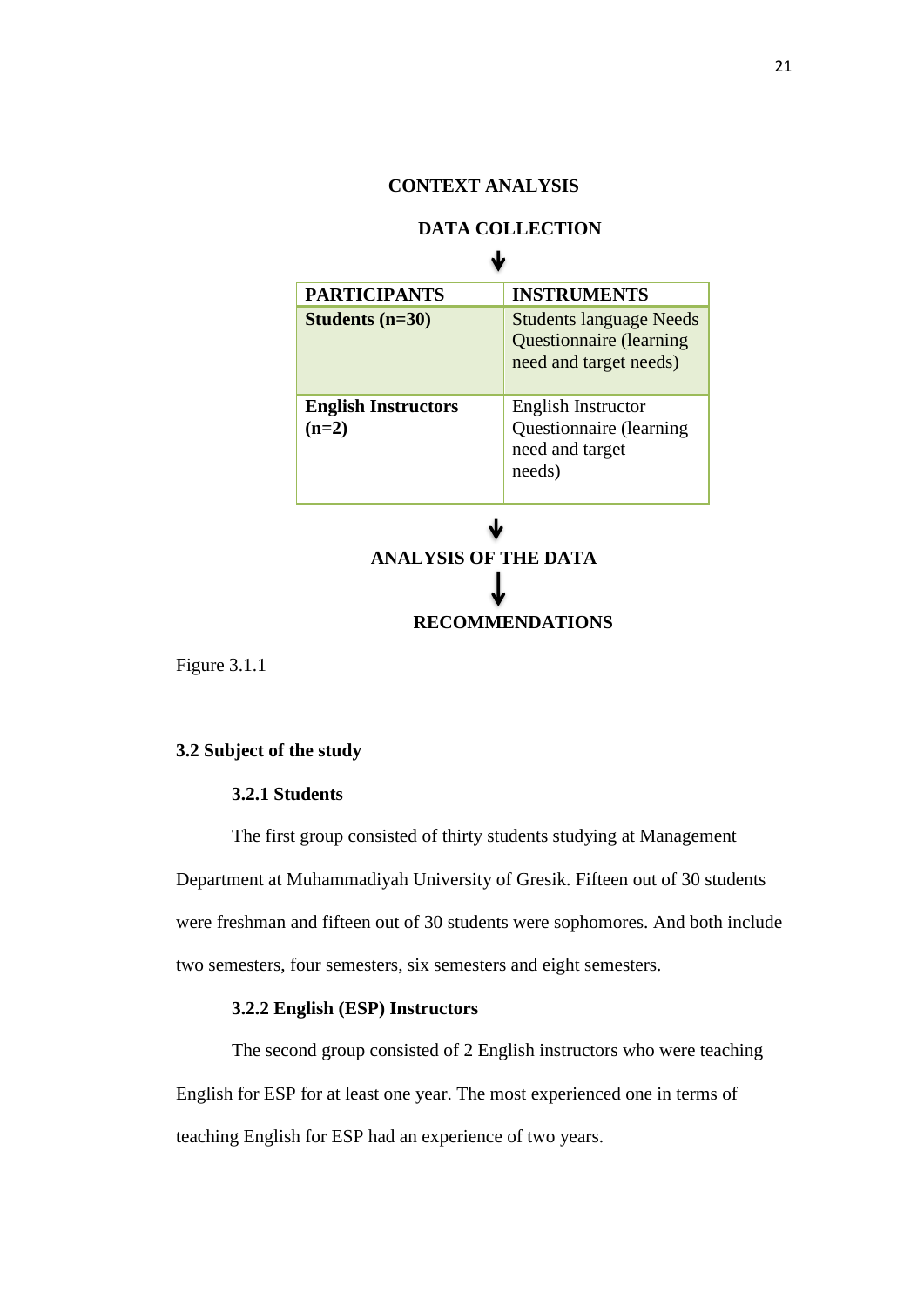# **CONTEXT ANALYSIS**

### **DATA COLLECTION**   $\mathbf{H}$ .

| <b>PARTICIPANTS</b>                   | <b>INSTRUMENTS</b>                                                                         |
|---------------------------------------|--------------------------------------------------------------------------------------------|
| Students $(n=30)$                     | <b>Students language Needs</b><br><b>Questionnaire</b> (learning<br>need and target needs) |
| <b>English Instructors</b><br>$(n=2)$ | English Instructor<br>Questionnaire (learning<br>need and target<br>needs)                 |

**ANALYSIS OF THE DATA RECOMMENDATIONS**

Figure 3.1.1

### **3.2 Subject of the study**

## **3.2.1 Students**

The first group consisted of thirty students studying at Management Department at Muhammadiyah University of Gresik. Fifteen out of 30 students were freshman and fifteen out of 30 students were sophomores. And both include two semesters, four semesters, six semesters and eight semesters.

### **3.2.2 English (ESP) Instructors**

The second group consisted of 2 English instructors who were teaching English for ESP for at least one year. The most experienced one in terms of teaching English for ESP had an experience of two years.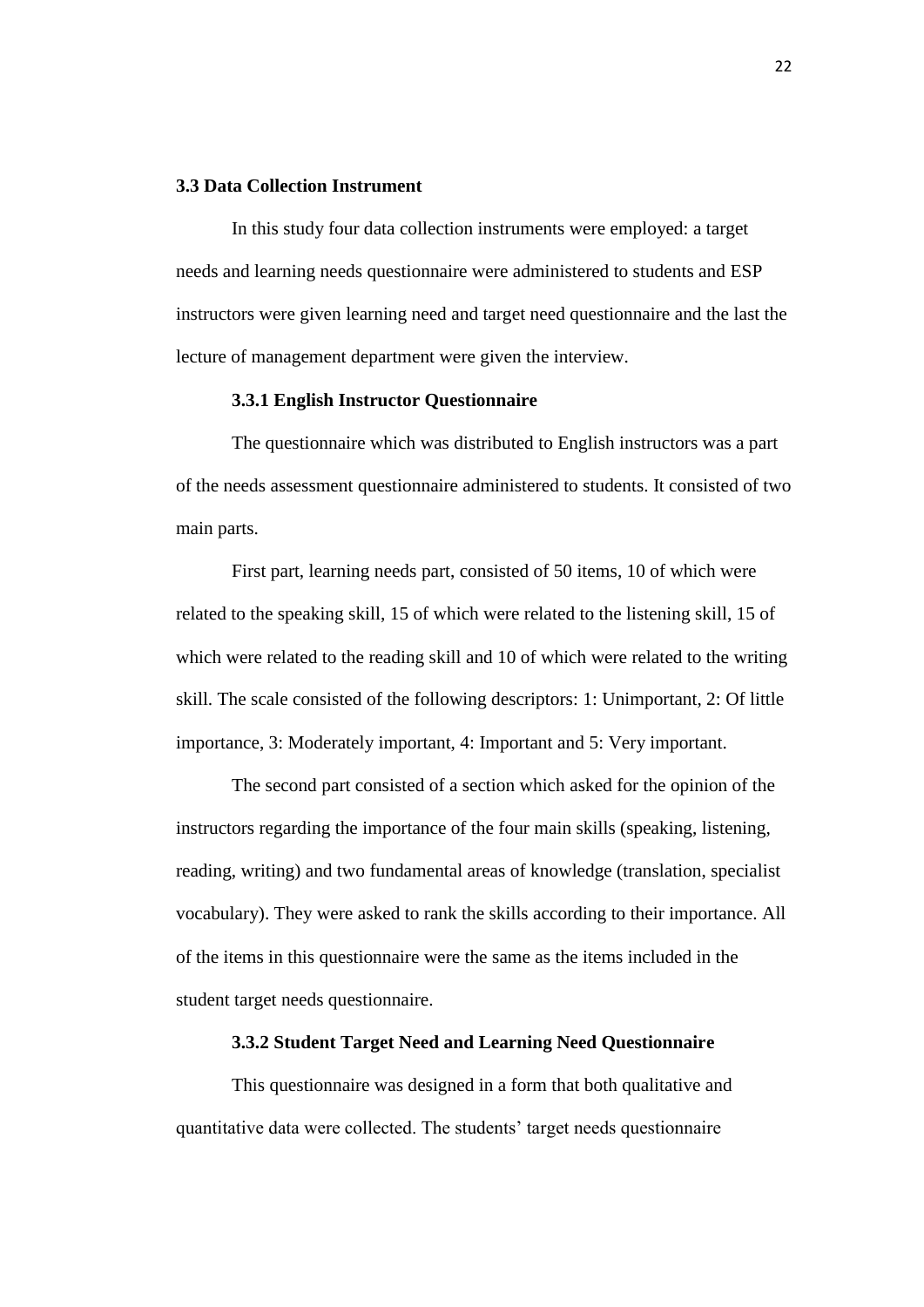### **3.3 Data Collection Instrument**

In this study four data collection instruments were employed: a target needs and learning needs questionnaire were administered to students and ESP instructors were given learning need and target need questionnaire and the last the lecture of management department were given the interview.

#### **3.3.1 English Instructor Questionnaire**

The questionnaire which was distributed to English instructors was a part of the needs assessment questionnaire administered to students. It consisted of two main parts.

First part, learning needs part, consisted of 50 items, 10 of which were related to the speaking skill, 15 of which were related to the listening skill, 15 of which were related to the reading skill and 10 of which were related to the writing skill. The scale consisted of the following descriptors: 1: Unimportant, 2: Of little importance, 3: Moderately important, 4: Important and 5: Very important.

The second part consisted of a section which asked for the opinion of the instructors regarding the importance of the four main skills (speaking, listening, reading, writing) and two fundamental areas of knowledge (translation, specialist vocabulary). They were asked to rank the skills according to their importance. All of the items in this questionnaire were the same as the items included in the student target needs questionnaire.

## **3.3.2 Student Target Need and Learning Need Questionnaire**

This questionnaire was designed in a form that both qualitative and quantitative data were collected. The students' target needs questionnaire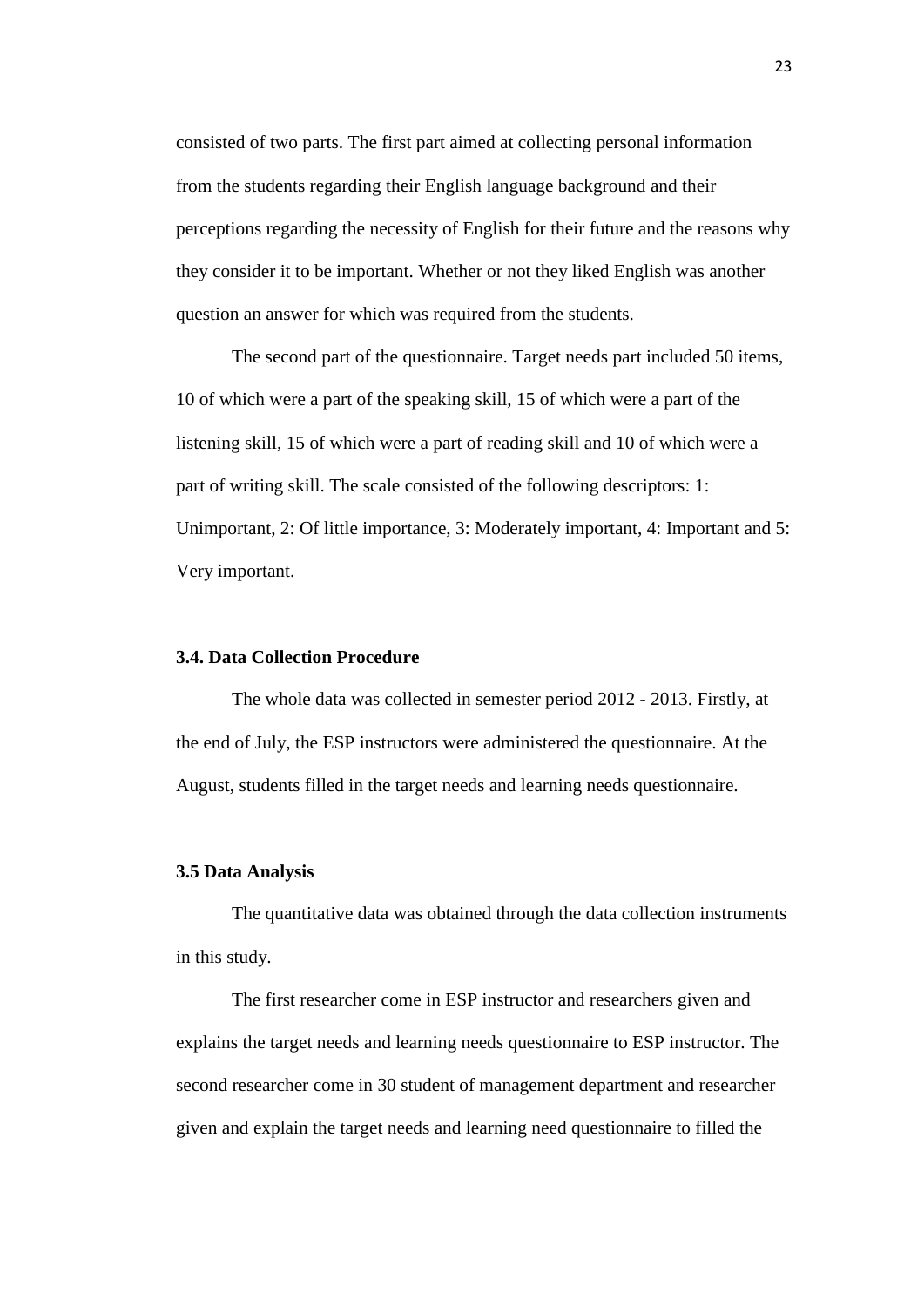consisted of two parts. The first part aimed at collecting personal information from the students regarding their English language background and their perceptions regarding the necessity of English for their future and the reasons why they consider it to be important. Whether or not they liked English was another question an answer for which was required from the students.

The second part of the questionnaire. Target needs part included 50 items, 10 of which were a part of the speaking skill, 15 of which were a part of the listening skill, 15 of which were a part of reading skill and 10 of which were a part of writing skill. The scale consisted of the following descriptors: 1: Unimportant, 2: Of little importance, 3: Moderately important, 4: Important and 5: Very important.

### **3.4. Data Collection Procedure**

The whole data was collected in semester period 2012 - 2013. Firstly, at the end of July, the ESP instructors were administered the questionnaire. At the August, students filled in the target needs and learning needs questionnaire.

#### **3.5 Data Analysis**

The quantitative data was obtained through the data collection instruments in this study.

The first researcher come in ESP instructor and researchers given and explains the target needs and learning needs questionnaire to ESP instructor. The second researcher come in 30 student of management department and researcher given and explain the target needs and learning need questionnaire to filled the